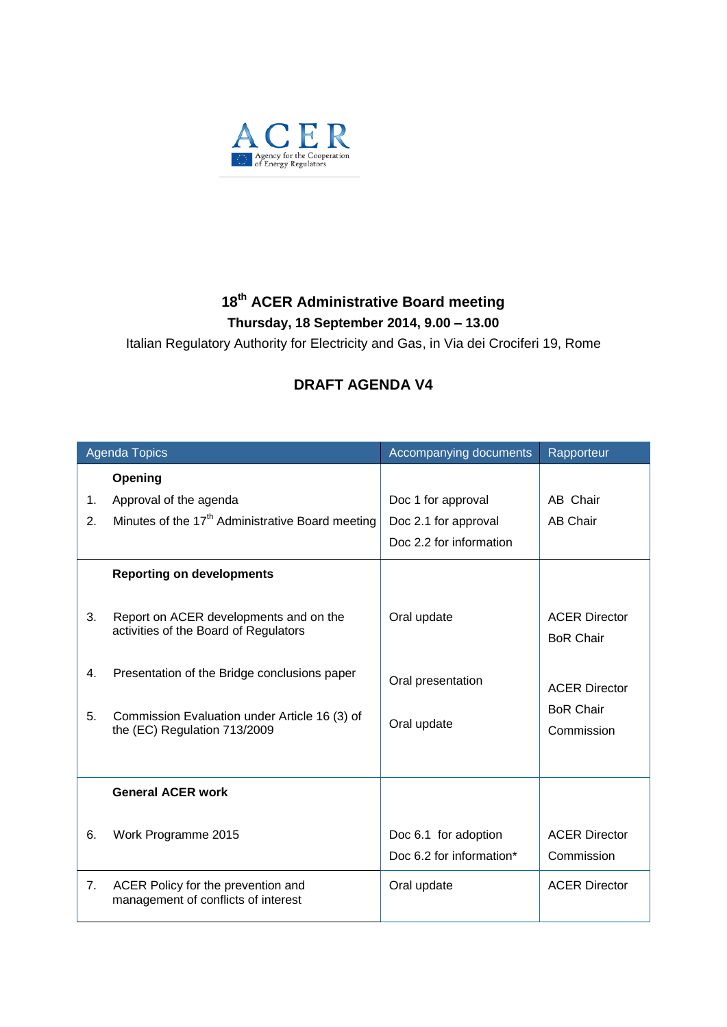

## **18 th ACER Administrative Board meeting Thursday, 18 September 2014, 9.00 – 13.00**

Italian Regulatory Authority for Electricity and Gas, in Via dei Crociferi 19, Rome

## **DRAFT AGENDA V4**

| <b>Agenda Topics</b> |                                                                                 | Accompanying documents                           | Rapporteur                               |
|----------------------|---------------------------------------------------------------------------------|--------------------------------------------------|------------------------------------------|
|                      | Opening                                                                         |                                                  |                                          |
| 1.                   | Approval of the agenda                                                          | Doc 1 for approval                               | AB Chair                                 |
| 2.                   | Minutes of the 17 <sup>th</sup> Administrative Board meeting                    | Doc 2.1 for approval                             | <b>AB Chair</b>                          |
|                      |                                                                                 | Doc 2.2 for information                          |                                          |
|                      | <b>Reporting on developments</b>                                                |                                                  |                                          |
| 3.                   | Report on ACER developments and on the<br>activities of the Board of Regulators | Oral update                                      | <b>ACER Director</b><br><b>BoR Chair</b> |
| 4.                   | Presentation of the Bridge conclusions paper                                    | Oral presentation                                | <b>ACER Director</b>                     |
| 5.                   | Commission Evaluation under Article 16 (3) of<br>the (EC) Regulation 713/2009   | Oral update                                      | <b>BoR Chair</b><br>Commission           |
|                      | <b>General ACER work</b>                                                        |                                                  |                                          |
| 6.                   | Work Programme 2015                                                             | Doc 6.1 for adoption<br>Doc 6.2 for information* | <b>ACER Director</b><br>Commission       |
| 7.                   | ACER Policy for the prevention and<br>management of conflicts of interest       | Oral update                                      | <b>ACER Director</b>                     |